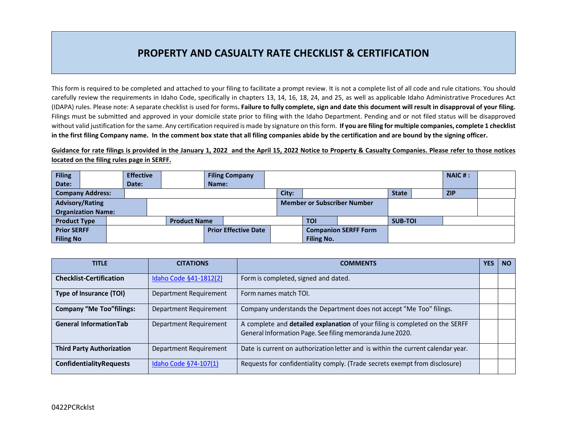## **PROPERTY AND CASUALTY RATE CHECKLIST & CERTIFICATION**

This form is required to be completed and attached to your filing to facilitate a prompt review. It is not a complete list of all code and rule citations. You should carefully review the requirements in Idaho Code, specifically in chapters 13, 14, 16, 18, 24, and 25, as well as applicable Idaho Administrative Procedures Act (IDAPA) rules. Please note: A separate checklist is used for forms**. Failure to fully complete, sign and date this document will result in disapproval of your filing.**  Filings must be submitted and approved in your domicile state prior to filing with the Idaho Department. Pending and or not filed status will be disapproved without valid justification for the same. Any certification required is made by signature on this form. **If you are filing for multiple companies, complete 1 checklist in the first filing Company name. In the comment box state that all filing companies abide by the certification and are bound by the signing officer.** 

**Guidance for rate filings is provided in the January 1, 2022 and the April 15, 2022 Notice to Property & Casualty Companies. Please refer to those notices located on the filing rules page in SERFF.**

| <b>Filing</b>             |                         |  | <b>Effective</b>            |                     |       | <b>Filing Company</b> |                                    |       |            |  |                |  | $NAIC$ #:  |  |
|---------------------------|-------------------------|--|-----------------------------|---------------------|-------|-----------------------|------------------------------------|-------|------------|--|----------------|--|------------|--|
| Date:                     |                         |  | Date:                       |                     | Name: |                       |                                    |       |            |  |                |  |            |  |
|                           | <b>Company Address:</b> |  |                             |                     |       |                       |                                    | City: |            |  | <b>State</b>   |  | <b>ZIP</b> |  |
| <b>Advisory/Rating</b>    |                         |  |                             |                     |       |                       | <b>Member or Subscriber Number</b> |       |            |  |                |  |            |  |
| <b>Organization Name:</b> |                         |  |                             |                     |       |                       |                                    |       |            |  |                |  |            |  |
| <b>Product Type</b>       |                         |  |                             | <b>Product Name</b> |       |                       |                                    |       | <b>TOI</b> |  | <b>SUB-TOI</b> |  |            |  |
| <b>Prior SERFF</b>        |                         |  | <b>Prior Effective Date</b> |                     |       |                       | <b>Companion SERFF Form</b>        |       |            |  |                |  |            |  |
| <b>Filing No</b>          |                         |  |                             |                     |       |                       | <b>Filing No.</b>                  |       |            |  |                |  |            |  |

| <b>TITLE</b>                     | <b>CITATIONS</b>       | <b>COMMENTS</b>                                                                                                                           | <b>YES</b> | <b>NO</b> |
|----------------------------------|------------------------|-------------------------------------------------------------------------------------------------------------------------------------------|------------|-----------|
| <b>Checklist-Certification</b>   | Idaho Code §41-1812(2) | Form is completed, signed and dated.                                                                                                      |            |           |
| Type of Insurance (TOI)          | Department Requirement | Form names match TOI.                                                                                                                     |            |           |
| <b>Company "Me Too"filings:</b>  | Department Requirement | Company understands the Department does not accept "Me Too" filings.                                                                      |            |           |
| <b>General InformationTab</b>    | Department Requirement | A complete and detailed explanation of your filing is completed on the SERFF<br>General Information Page. See filing memoranda June 2020. |            |           |
| <b>Third Party Authorization</b> | Department Requirement | Date is current on authorization letter and is within the current calendar year.                                                          |            |           |
| <b>ConfidentialityRequests</b>   | Idaho Code §74-107(1)  | Requests for confidentiality comply. (Trade secrets exempt from disclosure)                                                               |            |           |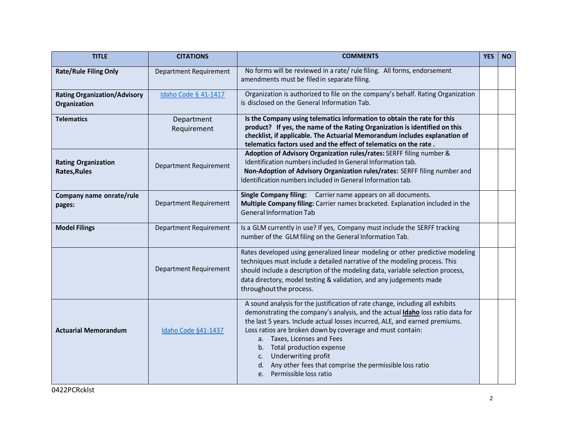| <b>TITLE</b>                                        | <b>CITATIONS</b>              | <b>COMMENTS</b>                                                                                                                                                                                                                                                                                                                                                                                                                                                                                   |  |  |
|-----------------------------------------------------|-------------------------------|---------------------------------------------------------------------------------------------------------------------------------------------------------------------------------------------------------------------------------------------------------------------------------------------------------------------------------------------------------------------------------------------------------------------------------------------------------------------------------------------------|--|--|
| <b>Rate/Rule Filing Only</b>                        | <b>Department Requirement</b> | No forms will be reviewed in a rate/ rule filing. All forms, endorsement<br>amendments must be filed in separate filing.                                                                                                                                                                                                                                                                                                                                                                          |  |  |
| <b>Rating Organization/Advisory</b><br>Organization | Idaho Code § 41-1417          | Organization is authorized to file on the company's behalf. Rating Organization<br>is disclosed on the General Information Tab.                                                                                                                                                                                                                                                                                                                                                                   |  |  |
| <b>Telematics</b>                                   | Department<br>Requirement     | Is the Company using telematics information to obtain the rate for this<br>product? If yes, the name of the Rating Organization is identified on this<br>checklist, if applicable. The Actuarial Memorandum includes explanation of<br>telematics factors used and the effect of telematics on the rate.                                                                                                                                                                                          |  |  |
| <b>Rating Organization</b><br><b>Rates, Rules</b>   | Department Requirement        | Adoption of Advisory Organization rules/rates: SERFF filing number &<br>Identification numbers included In General Information tab.<br>Non-Adoption of Advisory Organization rules/rates: SERFF filing number and<br>Identification numbers included in General Information tab.                                                                                                                                                                                                                  |  |  |
| Company name onrate/rule<br>pages:                  | Department Requirement        | Single Company filing: Carrier name appears on all documents.<br>Multiple Company filing: Carrier names bracketed. Explanation included in the<br><b>General Information Tab</b>                                                                                                                                                                                                                                                                                                                  |  |  |
| <b>Model Filings</b>                                | Department Requirement        | Is a GLM currently in use? If yes, Company must include the SERFF tracking<br>number of the GLM filing on the General Information Tab.                                                                                                                                                                                                                                                                                                                                                            |  |  |
|                                                     | Department Requirement        | Rates developed using generalized linear modeling or other predictive modeling<br>techniques must include a detailed narrative of the modeling process. This<br>should include a description of the modeling data, variable selection process,<br>data directory, model testing & validation, and any judgements made<br>throughout the process.                                                                                                                                                  |  |  |
| <b>Actuarial Memorandum</b>                         | Idaho Code §41-1437           | A sound analysis for the justification of rate change, including all exhibits<br>demonstrating the company's analysis, and the actual Idaho loss ratio data for<br>the last 5 years. Include actual losses incurred, ALE, and earned premiums.<br>Loss ratios are broken down by coverage and must contain:<br>a. Taxes, Licenses and Fees<br>b. Total production expense<br>Underwriting profit<br>C.<br>d. Any other fees that comprise the permissible loss ratio<br>e. Permissible loss ratio |  |  |

0422PCRcklst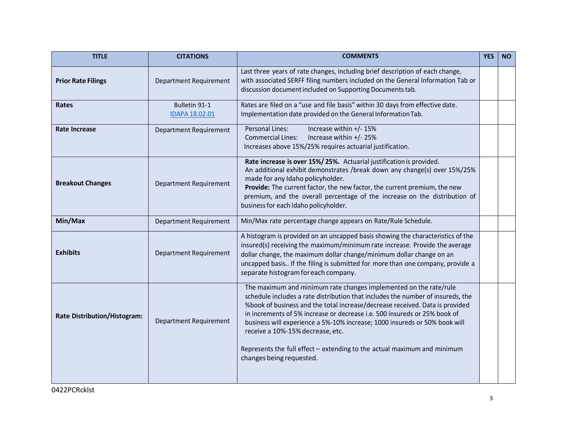| <b>TITLE</b>                        | <b>CITATIONS</b>                | <b>COMMENTS</b>                                                                                                                                                                                                                                                                                                                                                                                                                                                                                                                             | <b>YES</b> | <b>NO</b> |
|-------------------------------------|---------------------------------|---------------------------------------------------------------------------------------------------------------------------------------------------------------------------------------------------------------------------------------------------------------------------------------------------------------------------------------------------------------------------------------------------------------------------------------------------------------------------------------------------------------------------------------------|------------|-----------|
| <b>Prior Rate Filings</b>           | Department Requirement          | Last three years of rate changes, including brief description of each change,<br>with associated SERFF filing numbers included on the General Information Tab or<br>discussion document included on Supporting Documents tab.                                                                                                                                                                                                                                                                                                               |            |           |
| Rates                               | Bulletin 91-1<br>IDAPA 18.02.01 | Rates are filed on a "use and file basis" within 30 days from effective date.<br>Implementation date provided on the General Information Tab.                                                                                                                                                                                                                                                                                                                                                                                               |            |           |
| Rate Increase                       | Department Requirement          | Personal Lines:<br>Increase within +/- 15%<br>Increase within +/- 25%<br><b>Commercial Lines:</b><br>Increases above 15%/25% requires actuarial justification.                                                                                                                                                                                                                                                                                                                                                                              |            |           |
| <b>Breakout Changes</b>             | Department Requirement          | Rate increase is over 15%/25%. Actuarial justification is provided.<br>An additional exhibit demonstrates /break down any change(s) over 15%/25%<br>made for any Idaho policyholder.<br>Provide: The current factor, the new factor, the current premium, the new<br>premium, and the overall percentage of the increase on the distribution of<br>business for each Idaho policyholder.                                                                                                                                                    |            |           |
| Min/Max                             | Department Requirement          | Min/Max rate percentage change appears on Rate/Rule Schedule.                                                                                                                                                                                                                                                                                                                                                                                                                                                                               |            |           |
| <b>Exhibits</b>                     | <b>Department Requirement</b>   | A histogram is provided on an uncapped basis showing the characteristics of the<br>insured(s) receiving the maximum/minimum rate increase. Provide the average<br>dollar change, the maximum dollar change/minimum dollar change on an<br>uncapped basis If the filing is submitted for more than one company, provide a<br>separate histogram for each company.                                                                                                                                                                            |            |           |
| <b>Rate Distribution/Histogram:</b> | Department Requirement          | The maximum and minimum rate changes implemented on the rate/rule<br>schedule includes a rate distribution that includes the number of insureds, the<br>%book of business and the total increase/decrease received. Data is provided<br>in increments of 5% increase or decrease i.e. 500 insureds or 25% book of<br>business will experience a 5%-10% increase; 1000 insureds or 50% book will<br>receive a 10%-15% decrease, etc.<br>Represents the full effect - extending to the actual maximum and minimum<br>changes being requested. |            |           |
|                                     |                                 |                                                                                                                                                                                                                                                                                                                                                                                                                                                                                                                                             |            |           |

0422PCRcklst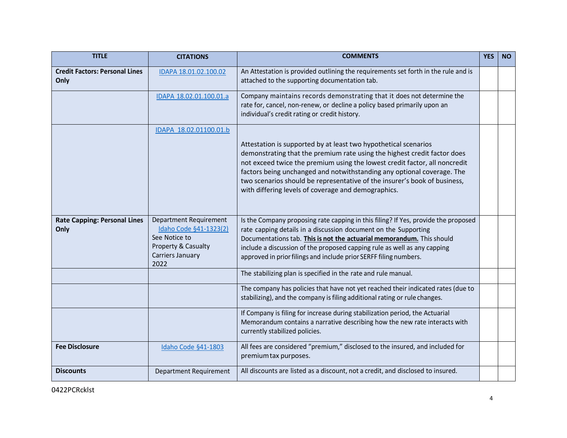| <b>TITLE</b>                                  | <b>CITATIONS</b>                                                                                                     | <b>COMMENTS</b>                                                                                                                                                                                                                                                                                                                                                                                                                         | <b>YES</b> | <b>NO</b> |
|-----------------------------------------------|----------------------------------------------------------------------------------------------------------------------|-----------------------------------------------------------------------------------------------------------------------------------------------------------------------------------------------------------------------------------------------------------------------------------------------------------------------------------------------------------------------------------------------------------------------------------------|------------|-----------|
| <b>Credit Factors: Personal Lines</b><br>Only | IDAPA 18.01.02.100.02                                                                                                | An Attestation is provided outlining the requirements set forth in the rule and is<br>attached to the supporting documentation tab.                                                                                                                                                                                                                                                                                                     |            |           |
|                                               | IDAPA 18.02.01.100.01.a                                                                                              | Company maintains records demonstrating that it does not determine the<br>rate for, cancel, non-renew, or decline a policy based primarily upon an<br>individual's credit rating or credit history.                                                                                                                                                                                                                                     |            |           |
|                                               | IDAPA 18.02.01100.01.b                                                                                               | Attestation is supported by at least two hypothetical scenarios<br>demonstrating that the premium rate using the highest credit factor does<br>not exceed twice the premium using the lowest credit factor, all noncredit<br>factors being unchanged and notwithstanding any optional coverage. The<br>two scenarios should be representative of the insurer's book of business,<br>with differing levels of coverage and demographics. |            |           |
| <b>Rate Capping: Personal Lines</b><br>Only   | Department Requirement<br>Idaho Code §41-1323(2)<br>See Notice to<br>Property & Casualty<br>Carriers January<br>2022 | Is the Company proposing rate capping in this filing? If Yes, provide the proposed<br>rate capping details in a discussion document on the Supporting<br>Documentations tab. This is not the actuarial memorandum. This should<br>include a discussion of the proposed capping rule as well as any capping<br>approved in prior filings and include prior SERFF filing numbers.                                                         |            |           |
|                                               |                                                                                                                      | The stabilizing plan is specified in the rate and rule manual.                                                                                                                                                                                                                                                                                                                                                                          |            |           |
|                                               |                                                                                                                      | The company has policies that have not yet reached their indicated rates (due to<br>stabilizing), and the company is filing additional rating or rule changes.                                                                                                                                                                                                                                                                          |            |           |
|                                               |                                                                                                                      | If Company is filing for increase during stabilization period, the Actuarial<br>Memorandum contains a narrative describing how the new rate interacts with<br>currently stabilized policies.                                                                                                                                                                                                                                            |            |           |
| <b>Fee Disclosure</b>                         | Idaho Code §41-1803                                                                                                  | All fees are considered "premium," disclosed to the insured, and included for<br>premium tax purposes.                                                                                                                                                                                                                                                                                                                                  |            |           |
| <b>Discounts</b>                              | Department Requirement                                                                                               | All discounts are listed as a discount, not a credit, and disclosed to insured.                                                                                                                                                                                                                                                                                                                                                         |            |           |

0422PCRcklst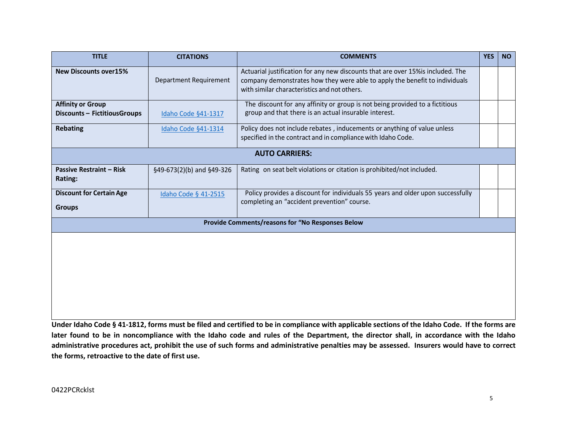| <b>TITLE</b>                                                    | <b>CITATIONS</b>              | <b>COMMENTS</b>                                                                                                                                                                                                 | <b>YES</b> | <b>NO</b> |
|-----------------------------------------------------------------|-------------------------------|-----------------------------------------------------------------------------------------------------------------------------------------------------------------------------------------------------------------|------------|-----------|
| <b>New Discounts over15%</b>                                    | <b>Department Requirement</b> | Actuarial justification for any new discounts that are over 15% is included. The<br>company demonstrates how they were able to apply the benefit to individuals<br>with similar characteristics and not others. |            |           |
| <b>Affinity or Group</b><br><b>Discounts - FictitiousGroups</b> | Idaho Code §41-1317           | The discount for any affinity or group is not being provided to a fictitious<br>group and that there is an actual insurable interest.                                                                           |            |           |
| <b>Rebating</b>                                                 | Idaho Code §41-1314           | Policy does not include rebates, inducements or anything of value unless<br>specified in the contract and in compliance with Idaho Code.                                                                        |            |           |
|                                                                 |                               | <b>AUTO CARRIERS:</b>                                                                                                                                                                                           |            |           |
| <b>Passive Restraint - Risk</b><br>Rating:                      | §49-673(2)(b) and §49-326     | Rating on seat belt violations or citation is prohibited/not included.                                                                                                                                          |            |           |
| <b>Discount for Certain Age</b><br><b>Groups</b>                | Idaho Code § 41-2515          | Policy provides a discount for individuals 55 years and older upon successfully<br>completing an "accident prevention" course.                                                                                  |            |           |
|                                                                 |                               | Provide Comments/reasons for "No Responses Below                                                                                                                                                                |            |           |
|                                                                 |                               |                                                                                                                                                                                                                 |            |           |

**Under Idaho Code § 41-1812, forms must be filed and certified to be in compliance with applicable sections of the Idaho Code. If the forms are later found to be in noncompliance with the Idaho code and rules of the Department, the director shall, in accordance with the Idaho administrative procedures act, prohibit the use of such forms and administrative penalties may be assessed. Insurers would have to correct the forms, retroactive to the date of first use.**